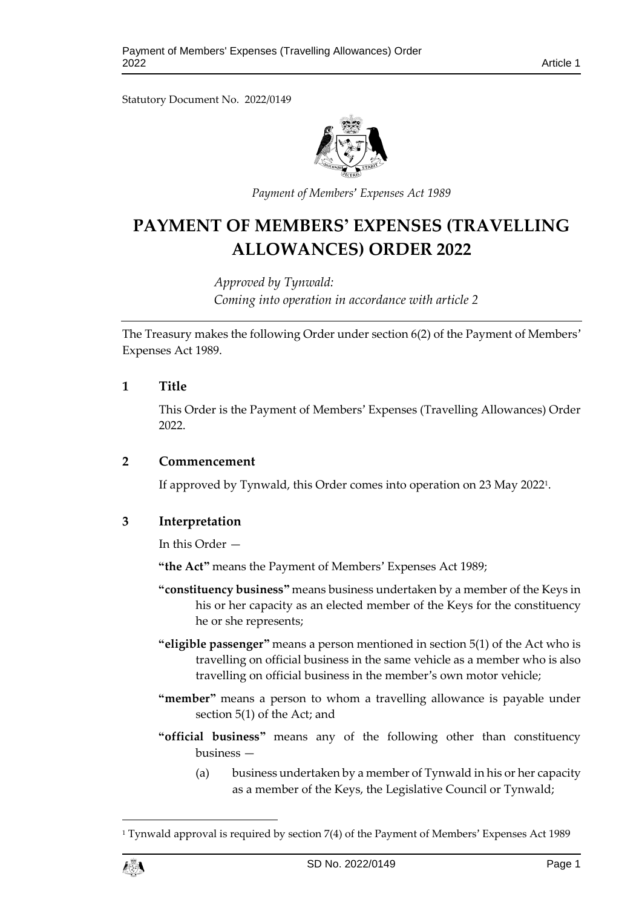Statutory Document No. 2022/0149



*Payment of Members' Expenses Act 1989*

# **PAYMENT OF MEMBERS' EXPENSES (TRAVELLING ALLOWANCES) ORDER 2022**

*Approved by Tynwald: Coming into operation in accordance with article 2*

The Treasury makes the following Order under section 6(2) of the Payment of Members' Expenses Act 1989.

# **1 Title**

This Order is the Payment of Members' Expenses (Travelling Allowances) Order 2022.

#### **2 Commencement**

If approved by Tynwald, this Order comes into operation on 23 May 2022<sup>1</sup> .

# **3 Interpretation**

In this Order —

**"the Act"** means the Payment of Members' Expenses Act 1989;

- **"constituency business"** means business undertaken by a member of the Keys in his or her capacity as an elected member of the Keys for the constituency he or she represents;
- **"eligible passenger"** means a person mentioned in section 5(1) of the Act who is travelling on official business in the same vehicle as a member who is also travelling on official business in the member's own motor vehicle;
- **"member"** means a person to whom a travelling allowance is payable under section 5(1) of the Act; and
- **"official business"** means any of the following other than constituency business —
	- (a) business undertaken by a member of Tynwald in his or her capacity as a member of the Keys, the Legislative Council or Tynwald;

<sup>1</sup> Tynwald approval is required by section 7(4) of the Payment of Members' Expenses Act 1989



1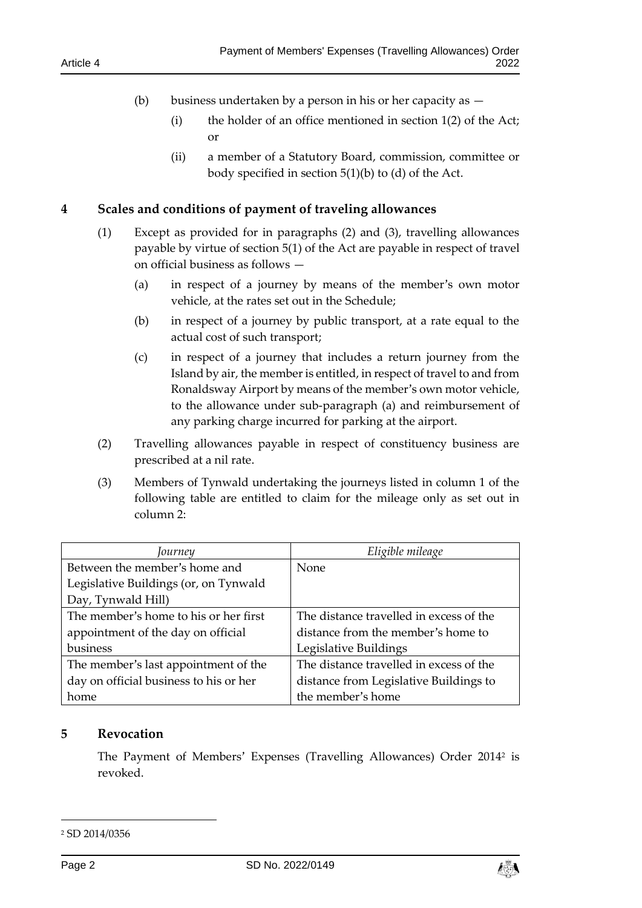- (b) business undertaken by a person in his or her capacity as  $-$ 
	- (i) the holder of an office mentioned in section 1(2) of the Act; or
	- (ii) a member of a Statutory Board, commission, committee or body specified in section 5(1)(b) to (d) of the Act.

# **4 Scales and conditions of payment of traveling allowances**

- (1) Except as provided for in paragraphs (2) and (3), travelling allowances payable by virtue of section 5(1) of the Act are payable in respect of travel on official business as follows —
	- (a) in respect of a journey by means of the member's own motor vehicle, at the rates set out in the Schedule;
	- (b) in respect of a journey by public transport, at a rate equal to the actual cost of such transport;
	- (c) in respect of a journey that includes a return journey from the Island by air, the member is entitled, in respect of travel to and from Ronaldsway Airport by means of the member's own motor vehicle, to the allowance under sub-paragraph (a) and reimbursement of any parking charge incurred for parking at the airport.
- (2) Travelling allowances payable in respect of constituency business are prescribed at a nil rate.
- (3) Members of Tynwald undertaking the journeys listed in column 1 of the following table are entitled to claim for the mileage only as set out in column 2:

| Journey                                | Eligible mileage                        |  |
|----------------------------------------|-----------------------------------------|--|
| Between the member's home and          | None                                    |  |
| Legislative Buildings (or, on Tynwald  |                                         |  |
| Day, Tynwald Hill)                     |                                         |  |
| The member's home to his or her first  | The distance travelled in excess of the |  |
| appointment of the day on official     | distance from the member's home to      |  |
| business                               | Legislative Buildings                   |  |
| The member's last appointment of the   | The distance travelled in excess of the |  |
| day on official business to his or her | distance from Legislative Buildings to  |  |
| home                                   | the member's home                       |  |

## **5 Revocation**

The Payment of Members' Expenses (Travelling Allowances) Order 2014<sup>2</sup> is revoked.

-



<sup>2</sup> SD 2014/0356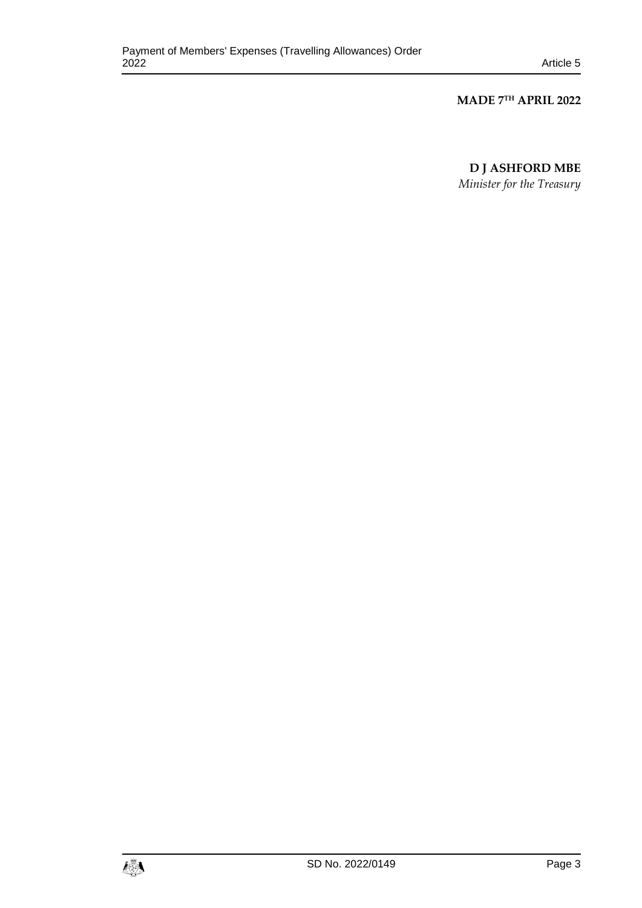#### **MADE 7 TH APRIL 2022**

**D J ASHFORD MBE**

*Minister for the Treasury*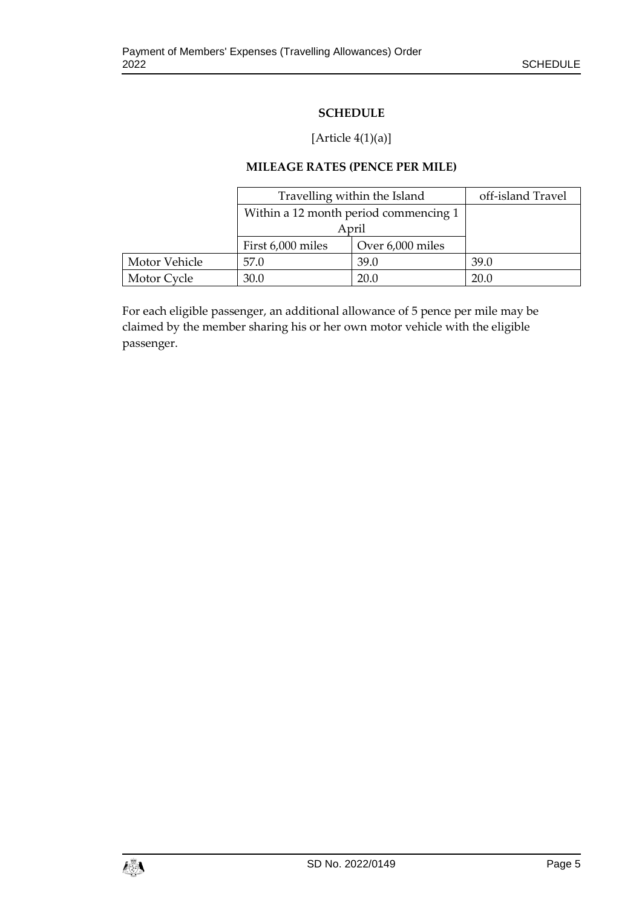# **SCHEDULE**

# [Article  $4(1)(a)$ ]

## **MILEAGE RATES (PENCE PER MILE)**

|               | Travelling within the Island          |                  | off-island Travel |
|---------------|---------------------------------------|------------------|-------------------|
|               | Within a 12 month period commencing 1 |                  |                   |
|               | April                                 |                  |                   |
|               | First 6,000 miles                     | Over 6,000 miles |                   |
| Motor Vehicle | 57.0                                  | 39.0             | 39.0              |
| Motor Cycle   | 30.0                                  | 20.0             | 20.0              |

For each eligible passenger, an additional allowance of 5 pence per mile may be claimed by the member sharing his or her own motor vehicle with the eligible passenger.